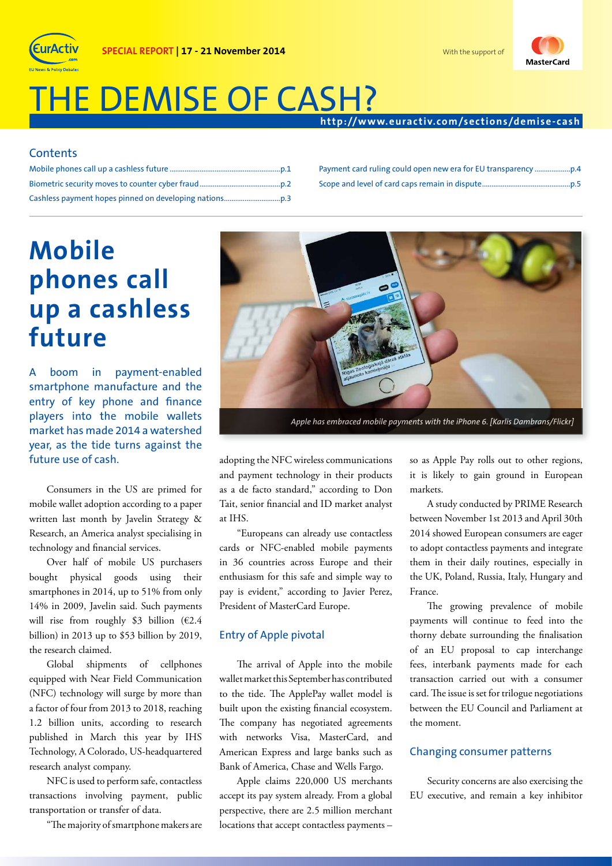

# THE DEMISE OF CASH?

**SPECIAL REPORT | 17 - 21 November 2014**

### **http://w w w.eurac tiv.com/sec tions/demise- cash**

### **Contents**

Payment card ruling could open new era for EU transparency ...................p.4 Scope and level of card caps remain in dispute...............................................p.5

# **Mobile phones call up a cashless future**

boom in payment-enabled smartphone manufacture and the entry of key phone and finance players into the mobile wallets market has made 2014 a watershed year, as the tide turns against the future use of cash.

Consumers in the US are primed for mobile wallet adoption according to a paper written last month by Javelin Strategy & Research, an America analyst specialising in technology and financial services.

Over half of mobile US purchasers bought physical goods using their smartphones in 2014, up to 51% from only 14% in 2009, Javelin said. Such payments will rise from roughly \$3 billion ( $\epsilon$ 2.4 billion) in 2013 up to \$53 billion by 2019, the research claimed.

Global shipments of cellphones equipped with Near Field Communication (NFC) technology will surge by more than a factor of four from 2013 to 2018, reaching 1.2 billion units, according to research published in March this year by IHS Technology, A Colorado, US-headquartered research analyst company.

NFC is used to perform safe, contactless transactions involving payment, public transportation or transfer of data.

"The majority of smartphone makers are



*Apple has embraced mobile payments with the iPhone 6. [Karlis Dambrans/Flickr]*

adopting the NFC wireless communications and payment technology in their products as a de facto standard," according to Don Tait, senior financial and ID market analyst at IHS.

"Europeans can already use contactless cards or NFC-enabled mobile payments in 36 countries across Europe and their enthusiasm for this safe and simple way to pay is evident," according to Javier Perez, President of MasterCard Europe.

#### Entry of Apple pivotal

The arrival of Apple into the mobile wallet market this September has contributed to the tide. The ApplePay wallet model is built upon the existing financial ecosystem. The company has negotiated agreements with networks Visa, MasterCard, and American Express and large banks such as Bank of America, Chase and Wells Fargo.

Apple claims 220,000 US merchants accept its pay system already. From a global perspective, there are 2.5 million merchant locations that accept contactless payments –

so as Apple Pay rolls out to other regions, it is likely to gain ground in European markets.

A study conducted by PRIME Research between November 1st 2013 and April 30th 2014 showed European consumers are eager to adopt contactless payments and integrate them in their daily routines, especially in the UK, Poland, Russia, Italy, Hungary and France.

The growing prevalence of mobile payments will continue to feed into the thorny debate surrounding the finalisation of an EU proposal to cap interchange fees, interbank payments made for each transaction carried out with a consumer card. The issue is set for trilogue negotiations between the EU Council and Parliament at the moment.

#### Changing consumer patterns

Security concerns are also exercising the EU executive, and remain a key inhibitor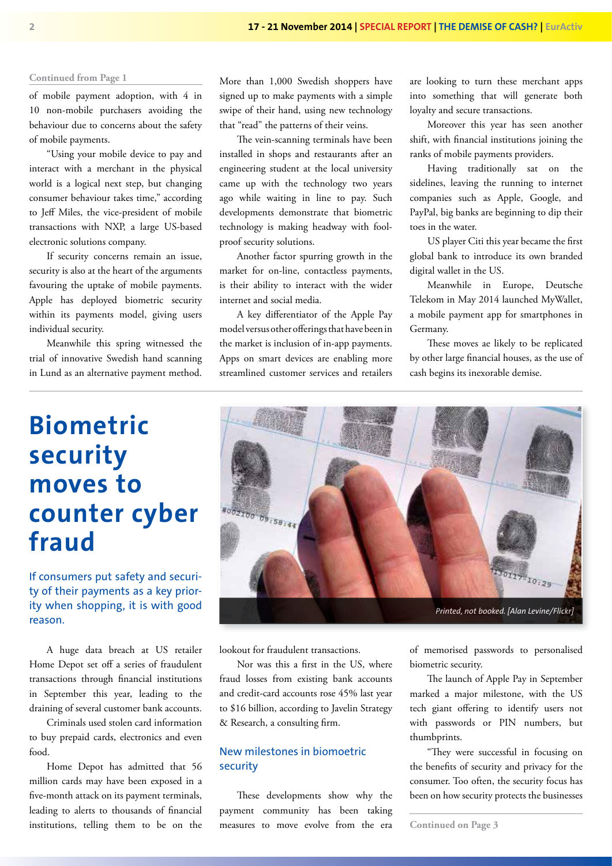of mobile payment adoption, with 4 in 10 non-mobile purchasers avoiding the behaviour due to concerns about the safety of mobile payments.

"Using your mobile device to pay and interact with a merchant in the physical world is a logical next step, but changing consumer behaviour takes time," according to Jeff Miles, the vice-president of mobile transactions with NXP, a large US-based electronic solutions company.

If security concerns remain an issue, security is also at the heart of the arguments favouring the uptake of mobile payments. Apple has deployed biometric security within its payments model, giving users individual security.

Meanwhile this spring witnessed the trial of innovative Swedish hand scanning in Lund as an alternative payment method. More than 1,000 Swedish shoppers have signed up to make payments with a simple swipe of their hand, using new technology that "read" the patterns of their veins.

The vein-scanning terminals have been installed in shops and restaurants after an engineering student at the local university came up with the technology two years ago while waiting in line to pay. Such developments demonstrate that biometric technology is making headway with foolproof security solutions.

Another factor spurring growth in the market for on-line, contactless payments, is their ability to interact with the wider internet and social media.

A key differentiator of the Apple Pay model versus other offerings that have been in the market is inclusion of in-app payments. Apps on smart devices are enabling more streamlined customer services and retailers are looking to turn these merchant apps into something that will generate both loyalty and secure transactions.

Moreover this year has seen another shift, with financial institutions joining the ranks of mobile payments providers.

Having traditionally sat on the sidelines, leaving the running to internet companies such as Apple, Google, and PayPal, big banks are beginning to dip their toes in the water.

US player Citi this year became the first global bank to introduce its own branded digital wallet in the US.

Meanwhile in Europe, Deutsche Telekom in May 2014 launched MyWallet, a mobile payment app for smartphones in Germany.

These moves ae likely to be replicated by other large financial houses, as the use of cash begins its inexorable demise.

## **Biometric security moves to counter cyber fraud**

If consumers put safety and security of their payments as a key priority when shopping, it is with good reason.

A huge data breach at US retailer Home Depot set off a series of fraudulent transactions through financial institutions in September this year, leading to the draining of several customer bank accounts.

Criminals used stolen card information to buy prepaid cards, electronics and even food.

Home Depot has admitted that 56 million cards may have been exposed in a five-month attack on its payment terminals, leading to alerts to thousands of financial institutions, telling them to be on the



lookout for fraudulent transactions.

Nor was this a first in the US, where fraud losses from existing bank accounts and credit-card accounts rose 45% last year to \$16 billion, according to Javelin Strategy & Research, a consulting firm.

### New milestones in biomoetric security

These developments show why the payment community has been taking measures to move evolve from the era of memorised passwords to personalised biometric security.

The launch of Apple Pay in September marked a major milestone, with the US tech giant offering to identify users not with passwords or PIN numbers, but thumbprints.

"They were successful in focusing on the benefits of security and privacy for the consumer. Too often, the security focus has been on how security protects the businesses

**Continued on Page 3**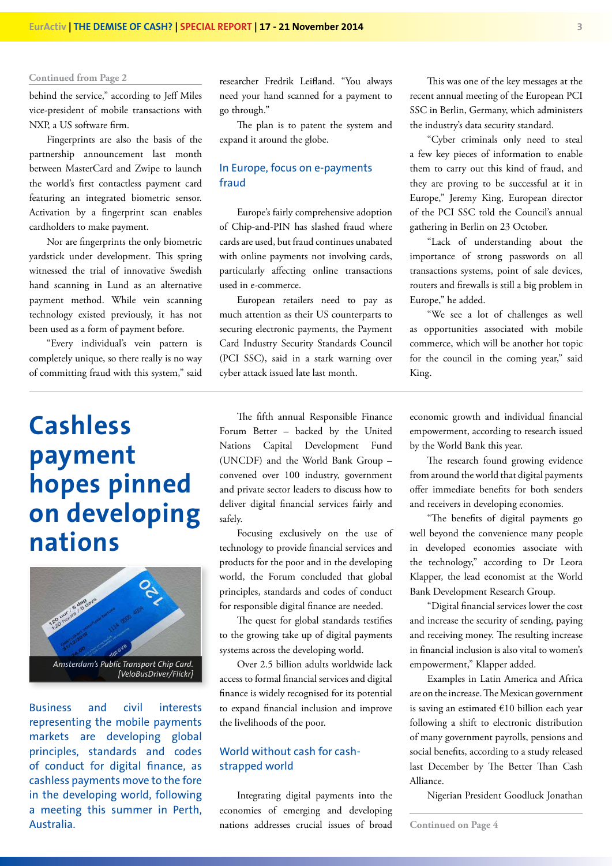behind the service," according to Jeff Miles vice-president of mobile transactions with NXP, a US software firm.

Fingerprints are also the basis of the partnership announcement last month between MasterCard and Zwipe to launch the world's first contactless payment card featuring an integrated biometric sensor. Activation by a fingerprint scan enables cardholders to make payment.

Nor are fingerprints the only biometric yardstick under development. This spring witnessed the trial of innovative Swedish hand scanning in Lund as an alternative payment method. While vein scanning technology existed previously, it has not been used as a form of payment before.

"Every individual's vein pattern is completely unique, so there really is no way of committing fraud with this system," said

## **Cashless payment hopes pinned on developing nations**



Business and civil interests representing the mobile payments markets are developing global principles, standards and codes of conduct for digital finance, as cashless payments move to the fore in the developing world, following a meeting this summer in Perth, Australia.

researcher Fredrik Leifland. "You always need your hand scanned for a payment to go through."

The plan is to patent the system and expand it around the globe.

#### In Europe, focus on e-payments fraud

Europe's fairly comprehensive adoption of Chip-and-PIN has slashed fraud where cards are used, but fraud continues unabated with online payments not involving cards, particularly affecting online transactions used in e-commerce.

European retailers need to pay as much attention as their US counterparts to securing electronic payments, the Payment Card Industry Security Standards Council (PCI SSC), said in a stark warning over cyber attack issued late last month.

The fifth annual Responsible Finance Forum Better – backed by the United Nations Capital Development Fund (UNCDF) and the World Bank Group – convened over 100 industry, government and private sector leaders to discuss how to deliver digital financial services fairly and safely.

Focusing exclusively on the use of technology to provide financial services and products for the poor and in the developing world, the Forum concluded that global principles, standards and codes of conduct for responsible digital finance are needed.

The quest for global standards testifies to the growing take up of digital payments systems across the developing world.

Over 2.5 billion adults worldwide lack access to formal financial services and digital finance is widely recognised for its potential to expand financial inclusion and improve the livelihoods of the poor.

### World without cash for cashstrapped world

Integrating digital payments into the economies of emerging and developing nations addresses crucial issues of broad

This was one of the key messages at the recent annual meeting of the European PCI SSC in Berlin, Germany, which administers the industry's data security standard.

"Cyber criminals only need to steal a few key pieces of information to enable them to carry out this kind of fraud, and they are proving to be successful at it in Europe," Jeremy King, European director of the PCI SSC told the Council's annual gathering in Berlin on 23 October.

"Lack of understanding about the importance of strong passwords on all transactions systems, point of sale devices, routers and firewalls is still a big problem in Europe," he added.

"We see a lot of challenges as well as opportunities associated with mobile commerce, which will be another hot topic for the council in the coming year," said King.

economic growth and individual financial empowerment, according to research issued by the World Bank this year.

The research found growing evidence from around the world that digital payments offer immediate benefits for both senders and receivers in developing economies.

"The benefits of digital payments go well beyond the convenience many people in developed economies associate with the technology," according to Dr Leora Klapper, the lead economist at the World Bank Development Research Group.

"Digital financial services lower the cost and increase the security of sending, paying and receiving money. The resulting increase in financial inclusion is also vital to women's empowerment," Klapper added.

Examples in Latin America and Africa are on the increase. The Mexican government is saving an estimated €10 billion each year following a shift to electronic distribution of many government payrolls, pensions and social benefits, according to a study released last December by The Better Than Cash Alliance.

Nigerian President Goodluck Jonathan

**Continued on Page 4**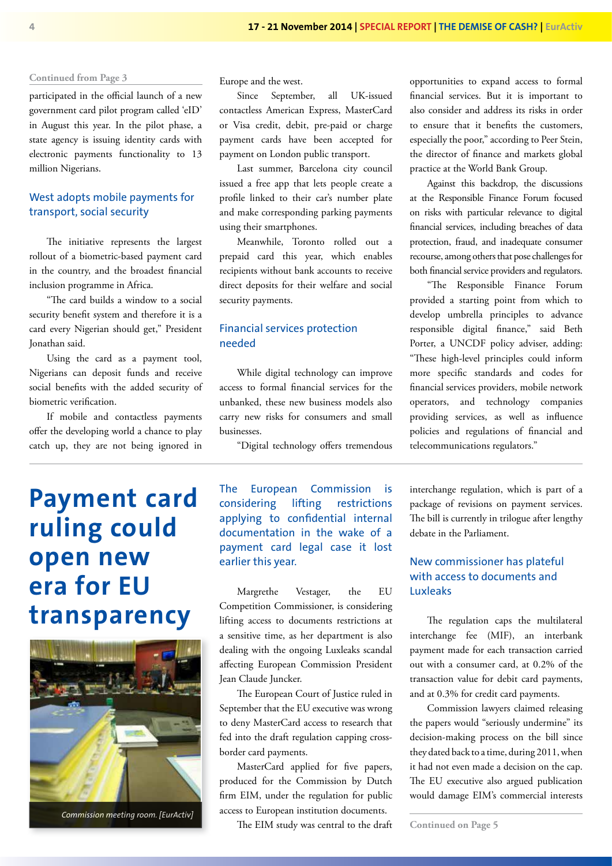participated in the official launch of a new government card pilot program called 'eID' in August this year. In the pilot phase, a state agency is issuing identity cards with electronic payments functionality to 13 million Nigerians.

### West adopts mobile payments for transport, social security

The initiative represents the largest rollout of a biometric-based payment card in the country, and the broadest financial inclusion programme in Africa.

"The card builds a window to a social security benefit system and therefore it is a card every Nigerian should get," President Jonathan said.

Using the card as a payment tool, Nigerians can deposit funds and receive social benefits with the added security of biometric verification.

If mobile and contactless payments offer the developing world a chance to play catch up, they are not being ignored in Europe and the west.

Since September, all UK-issued contactless American Express, MasterCard or Visa credit, debit, pre-paid or charge payment cards have been accepted for payment on London public transport.

Last summer, Barcelona city council issued a free app that lets people create a profile linked to their car's number plate and make corresponding parking payments using their smartphones.

Meanwhile, Toronto rolled out a prepaid card this year, which enables recipients without bank accounts to receive direct deposits for their welfare and social security payments.

#### Financial services protection needed

While digital technology can improve access to formal financial services for the unbanked, these new business models also carry new risks for consumers and small businesses.

"Digital technology offers tremendous

# **Payment card ruling could open new era for EU transparency**



*Commission meeting room. [EurActiv]*

The European Commission is considering lifting restrictions applying to confidential internal documentation in the wake of a payment card legal case it lost earlier this year.

Margrethe Vestager, the EU Competition Commissioner, is considering lifting access to documents restrictions at a sensitive time, as her department is also dealing with the ongoing Luxleaks scandal affecting European Commission President Jean Claude Juncker.

The European Court of Justice ruled in September that the EU executive was wrong to deny MasterCard access to research that fed into the draft regulation capping crossborder card payments.

MasterCard applied for five papers, produced for the Commission by Dutch firm EIM, under the regulation for public access to European institution documents.

The EIM study was central to the draft

opportunities to expand access to formal financial services. But it is important to also consider and address its risks in order to ensure that it benefits the customers, especially the poor," according to Peer Stein, the director of finance and markets global practice at the World Bank Group.

Against this backdrop, the discussions at the Responsible Finance Forum focused on risks with particular relevance to digital financial services, including breaches of data protection, fraud, and inadequate consumer recourse, among others that pose challenges for both financial service providers and regulators.

"The Responsible Finance Forum provided a starting point from which to develop umbrella principles to advance responsible digital finance," said Beth Porter, a UNCDF policy adviser, adding: "These high-level principles could inform more specific standards and codes for financial services providers, mobile network operators, and technology companies providing services, as well as influence policies and regulations of financial and telecommunications regulators."

interchange regulation, which is part of a package of revisions on payment services. The bill is currently in trilogue after lengthy debate in the Parliament.

#### New commissioner has plateful with access to documents and Luxleaks

The regulation caps the multilateral interchange fee (MIF), an interbank payment made for each transaction carried out with a consumer card, at 0.2% of the transaction value for debit card payments, and at 0.3% for credit card payments.

Commission lawyers claimed releasing the papers would "seriously undermine" its decision-making process on the bill since they dated back to a time, during 2011, when it had not even made a decision on the cap. The EU executive also argued publication would damage EIM's commercial interests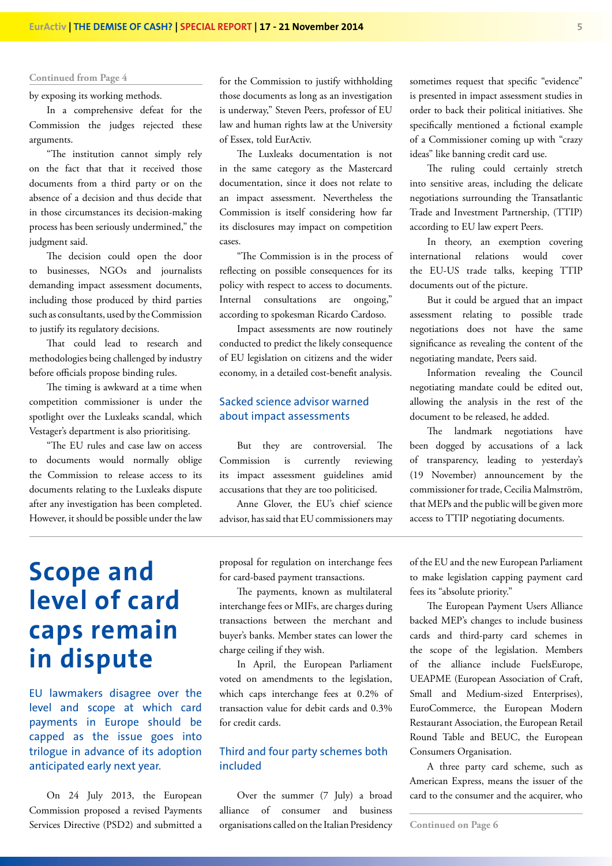by exposing its working methods.

In a comprehensive defeat for the Commission the judges rejected these arguments.

"The institution cannot simply rely on the fact that that it received those documents from a third party or on the absence of a decision and thus decide that in those circumstances its decision-making process has been seriously undermined," the judgment said.

The decision could open the door to businesses, NGOs and journalists demanding impact assessment documents, including those produced by third parties such as consultants, used by the Commission to justify its regulatory decisions.

That could lead to research and methodologies being challenged by industry before officials propose binding rules.

The timing is awkward at a time when competition commissioner is under the spotlight over the Luxleaks scandal, which Vestager's department is also prioritising.

"The EU rules and case law on access to documents would normally oblige the Commission to release access to its documents relating to the Luxleaks dispute after any investigation has been completed. However, it should be possible under the law

for the Commission to justify withholding those documents as long as an investigation is underway," Steven Peers, professor of EU law and human rights law at the University of Essex, told EurActiv.

The Luxleaks documentation is not in the same category as the Mastercard documentation, since it does not relate to an impact assessment. Nevertheless the Commission is itself considering how far its disclosures may impact on competition cases.

"The Commission is in the process of reflecting on possible consequences for its policy with respect to access to documents. Internal consultations are ongoing," according to spokesman Ricardo Cardoso.

Impact assessments are now routinely conducted to predict the likely consequence of EU legislation on citizens and the wider economy, in a detailed cost-benefit analysis.

#### Sacked science advisor warned about impact assessments

But they are controversial. The Commission is currently reviewing its impact assessment guidelines amid accusations that they are too politicised.

Anne Glover, the EU's chief science advisor, has said that EU commissioners may sometimes request that specific "evidence" is presented in impact assessment studies in order to back their political initiatives. She specifically mentioned a fictional example of a Commissioner coming up with "crazy ideas" like banning credit card use.

The ruling could certainly stretch into sensitive areas, including the delicate negotiations surrounding the Transatlantic Trade and Investment Partnership, (TTIP) according to EU law expert Peers.

In theory, an exemption covering international relations would cover the EU-US trade talks, keeping TTIP documents out of the picture.

But it could be argued that an impact assessment relating to possible trade negotiations does not have the same significance as revealing the content of the negotiating mandate, Peers said.

Information revealing the Council negotiating mandate could be edited out, allowing the analysis in the rest of the document to be released, he added.

The landmark negotiations have been dogged by accusations of a lack of transparency, leading to yesterday's (19 November) announcement by the commissioner for trade, Cecilia Malmström, that MEPs and the public will be given more access to TTIP negotiating documents.

# **Scope and level of card caps remain in dispute**

EU lawmakers disagree over the level and scope at which card payments in Europe should be capped as the issue goes into trilogue in advance of its adoption anticipated early next year.

On 24 July 2013, the European Commission proposed a revised Payments Services Directive (PSD2) and submitted a proposal for regulation on interchange fees for card-based payment transactions.

The payments, known as multilateral interchange fees or MIFs, are charges during transactions between the merchant and buyer's banks. Member states can lower the charge ceiling if they wish.

In April, the European Parliament voted on amendments to the legislation, which caps interchange fees at 0.2% of transaction value for debit cards and 0.3% for credit cards.

#### Third and four party schemes both included

Over the summer (7 July) a broad alliance of consumer and business organisations called on the Italian Presidency of the EU and the new European Parliament to make legislation capping payment card fees its "absolute priority."

The European Payment Users Alliance backed MEP's changes to include business cards and third-party card schemes in the scope of the legislation. Members of the alliance include FuelsEurope, UEAPME (European Association of Craft, Small and Medium-sized Enterprises), EuroCommerce, the European Modern Restaurant Association, the European Retail Round Table and BEUC, the European Consumers Organisation.

A three party card scheme, such as American Express, means the issuer of the card to the consumer and the acquirer, who